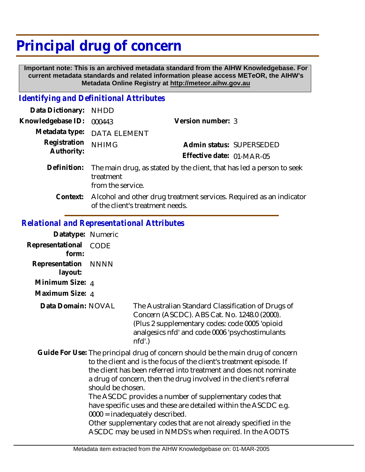# **Principal drug of concern**

 **Important note: This is an archived metadata standard from the AIHW Knowledgebase. For current metadata standards and related information please access METeOR, the AIHW's Metadata Online Registry at http://meteor.aihw.gov.au**

## *Identifying and Definitional Attributes*

| Data Dictionary:           | <b>NHDD</b>                                                                                             |                           |                          |
|----------------------------|---------------------------------------------------------------------------------------------------------|---------------------------|--------------------------|
| Knowledgebase ID:          | 000443                                                                                                  | Version number: 3         |                          |
| Metadata type:             | DATA ELEMENT                                                                                            |                           |                          |
| Registration<br>Authority: | <b>NHIMG</b>                                                                                            |                           | Admin status: SUPERSEDED |
|                            |                                                                                                         | Effective date: 01-MAR-05 |                          |
| Definition:                | The main drug, as stated by the client, that has led a person to seek<br>treatment<br>from the service. |                           |                          |
| Context:                   | Alcohol and other drug treatment services. Required as an indicator<br>of the client's treatment needs. |                           |                          |

## *Relational and Representational Attributes*

| Datatype: Numeric         |                                                                                                                                                                                                                                                                                                                                                                                                                                                                                                                                                                                                                         |                                                                                                                                                                                                                  |
|---------------------------|-------------------------------------------------------------------------------------------------------------------------------------------------------------------------------------------------------------------------------------------------------------------------------------------------------------------------------------------------------------------------------------------------------------------------------------------------------------------------------------------------------------------------------------------------------------------------------------------------------------------------|------------------------------------------------------------------------------------------------------------------------------------------------------------------------------------------------------------------|
| Representational<br>form: | <b>CODE</b>                                                                                                                                                                                                                                                                                                                                                                                                                                                                                                                                                                                                             |                                                                                                                                                                                                                  |
| Representation<br>layout: | <b>NNNN</b>                                                                                                                                                                                                                                                                                                                                                                                                                                                                                                                                                                                                             |                                                                                                                                                                                                                  |
| Minimum Size: 4           |                                                                                                                                                                                                                                                                                                                                                                                                                                                                                                                                                                                                                         |                                                                                                                                                                                                                  |
| Maximum Size: 4           |                                                                                                                                                                                                                                                                                                                                                                                                                                                                                                                                                                                                                         |                                                                                                                                                                                                                  |
| Data Domain: NOVAL        |                                                                                                                                                                                                                                                                                                                                                                                                                                                                                                                                                                                                                         | The Australian Standard Classification of Drugs of<br>Concern (ASCDC). ABS Cat. No. 1248.0 (2000).<br>(Plus 2 supplementary codes: code 0005 'opioid<br>analgesics nfd' and code 0006 'psychostimulants<br>nfd'. |
|                           | Guide For Use: The principal drug of concern should be the main drug of concern<br>to the client and is the focus of the client's treatment episode. If<br>the client has been referred into treatment and does not nominate<br>a drug of concern, then the drug involved in the client's referral<br>should be chosen.<br>The ASCDC provides a number of supplementary codes that<br>have specific uses and these are detailed within the ASCDC e.g.<br>$0000 =$ inadequately described.<br>Other supplementary codes that are not already specified in the<br>ASCDC may be used in NMDS's when required. In the AODTS |                                                                                                                                                                                                                  |